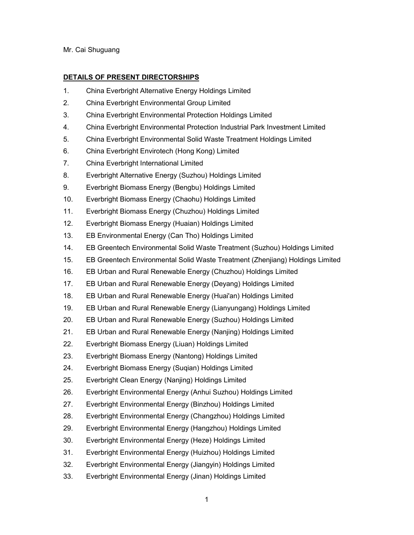Mr. Cai Shuguang

## **DETAILS OF PRESENT DIRECTORSHIPS**

- 1. China Everbright Alternative Energy Holdings Limited
- 2. China Everbright Environmental Group Limited
- 3. China Everbright Environmental Protection Holdings Limited
- 4. China Everbright Environmental Protection Industrial Park Investment Limited
- 5. China Everbright Environmental Solid Waste Treatment Holdings Limited
- 6. China Everbright Envirotech (Hong Kong) Limited
- 7. China Everbright International Limited
- 8. Everbright Alternative Energy (Suzhou) Holdings Limited
- 9. Everbright Biomass Energy (Bengbu) Holdings Limited
- 10. Everbright Biomass Energy (Chaohu) Holdings Limited
- 11. Everbright Biomass Energy (Chuzhou) Holdings Limited
- 12. Everbright Biomass Energy (Huaian) Holdings Limited
- 13. EB Environmental Energy (Can Tho) Holdings Limited
- 14. EB Greentech Environmental Solid Waste Treatment (Suzhou) Holdings Limited
- 15. EB Greentech Environmental Solid Waste Treatment (Zhenjiang) Holdings Limited
- 16. EB Urban and Rural Renewable Energy (Chuzhou) Holdings Limited
- 17. EB Urban and Rural Renewable Energy (Deyang) Holdings Limited
- 18. EB Urban and Rural Renewable Energy (Huai'an) Holdings Limited
- 19. EB Urban and Rural Renewable Energy (Lianyungang) Holdings Limited
- 20. EB Urban and Rural Renewable Energy (Suzhou) Holdings Limited
- 21. EB Urban and Rural Renewable Energy (Nanjing) Holdings Limited
- 22. Everbright Biomass Energy (Liuan) Holdings Limited
- 23. Everbright Biomass Energy (Nantong) Holdings Limited
- 24. Everbright Biomass Energy (Suqian) Holdings Limited
- 25. Everbright Clean Energy (Nanjing) Holdings Limited
- 26. Everbright Environmental Energy (Anhui Suzhou) Holdings Limited
- 27. Everbright Environmental Energy (Binzhou) Holdings Limited
- 28. Everbright Environmental Energy (Changzhou) Holdings Limited
- 29. Everbright Environmental Energy (Hangzhou) Holdings Limited
- 30. Everbright Environmental Energy (Heze) Holdings Limited
- 31. Everbright Environmental Energy (Huizhou) Holdings Limited
- 32. Everbright Environmental Energy (Jiangyin) Holdings Limited
- 33. Everbright Environmental Energy (Jinan) Holdings Limited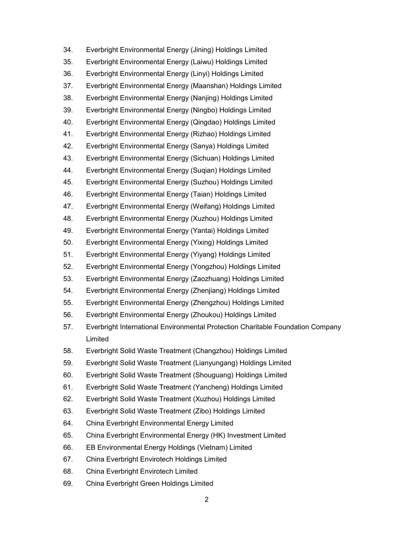34. Everbright Environmental Energy (Jining) Holdings Limited 35. Everbright Environmental Energy (Laiwu) Holdings Limited 36. Everbright Environmental Energy (Linyi) Holdings Limited 37. Everbright Environmental Energy (Maanshan) Holdings Limited 38. Everbright Environmental Energy (Nanjing) Holdings Limited 39. Everbright Environmental Energy (Ningbo) Holdings Limited 40. Everbright Environmental Energy (Qingdao) Holdings Limited 41. Everbright Environmental Energy (Rizhao) Holdings Limited 42. Everbright Environmental Energy (Sanya) Holdings Limited 43. Everbright Environmental Energy (Sichuan) Holdings Limited 44. Everbright Environmental Energy (Suqian) Holdings Limited 45. Everbright Environmental Energy (Suzhou) Holdings Limited 46. Everbright Environmental Energy (Taian) Holdings Limited 47. Everbright Environmental Energy (Weifang) Holdings Limited 48. Everbright Environmental Energy (Xuzhou) Holdings Limited 49. Everbright Environmental Energy (Yantai) Holdings Limited 50. Everbright Environmental Energy (Yixing) Holdings Limited 51. Everbright Environmental Energy (Yiyang) Holdings Limited 52. Everbright Environmental Energy (Yongzhou) Holdings Limited 53. Everbright Environmental Energy (Zaozhuang) Holdings Limited 54. Everbright Environmental Energy (Zhenjiang) Holdings Limited 55. Everbright Environmental Energy (Zhengzhou) Holdings Limited 56. Everbright Environmental Energy (Zhoukou) Holdings Limited 57. Everbright International Environmental Protection Charitable Foundation Company Limited 58. Everbright Solid Waste Treatment (Changzhou) Holdings Limited 59. Everbright Solid Waste Treatment (Lianyungang) Holdings Limited 60. Everbright Solid Waste Treatment (Shouguang) Holdings Limited 61. Everbright Solid Waste Treatment (Yancheng) Holdings Limited 62. Everbright Solid Waste Treatment (Xuzhou) Holdings Limited 63. Everbright Solid Waste Treatment (Zibo) Holdings Limited 64. China Everbright Environmental Energy Limited 65. China Everbright Environmental Energy (HK) Investment Limited 66. EB Environmental Energy Holdings (Vietnam) Limited 67. China Everbright Envirotech Holdings Limited 68. China Everbright Envirotech Limited 69. China Everbright Green Holdings Limited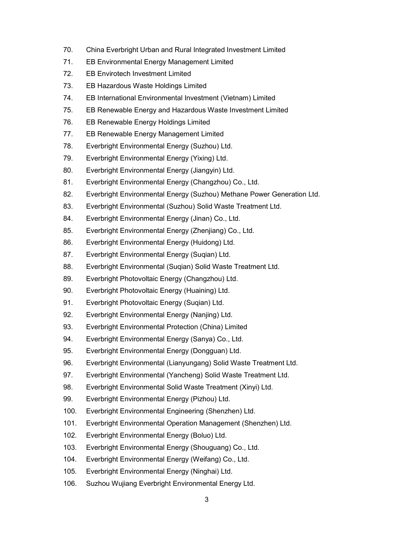- 70. China Everbright Urban and Rural Integrated Investment Limited
- 71. EB Environmental Energy Management Limited
- 72. EB Envirotech Investment Limited
- 73. EB Hazardous Waste Holdings Limited
- 74. EB International Environmental Investment (Vietnam) Limited
- 75. EB Renewable Energy and Hazardous Waste Investment Limited
- 76. EB Renewable Energy Holdings Limited
- 77. EB Renewable Energy Management Limited
- 78. Everbright Environmental Energy (Suzhou) Ltd.
- 79. Everbright Environmental Energy (Yixing) Ltd.
- 80. Everbright Environmental Energy (Jiangyin) Ltd.
- 81. Everbright Environmental Energy (Changzhou) Co., Ltd.
- 82. Everbright Environmental Energy (Suzhou) Methane Power Generation Ltd.
- 83. Everbright Environmental (Suzhou) Solid Waste Treatment Ltd.
- 84. Everbright Environmental Energy (Jinan) Co., Ltd.
- 85. Everbright Environmental Energy (Zhenjiang) Co., Ltd.
- 86. Everbright Environmental Energy (Huidong) Ltd.
- 87. Everbright Environmental Energy (Suqian) Ltd.
- 88. Everbright Environmental (Suqian) Solid Waste Treatment Ltd.
- 89. Everbright Photovoltaic Energy (Changzhou) Ltd.
- 90. Everbright Photovoltaic Energy (Huaining) Ltd.
- 91. Everbright Photovoltaic Energy (Suqian) Ltd.
- 92. Everbright Environmental Energy (Nanjing) Ltd.
- 93. Everbright Environmental Protection (China) Limited
- 94. Everbright Environmental Energy (Sanya) Co., Ltd.
- 95. Everbright Environmental Energy (Dongguan) Ltd.
- 96. Everbright Environmental (Lianyungang) Solid Waste Treatment Ltd.
- 97. Everbright Environmental (Yancheng) Solid Waste Treatment Ltd.
- 98. Everbright Environmental Solid Waste Treatment (Xinyi) Ltd.
- 99. Everbright Environmental Energy (Pizhou) Ltd.
- 100. Everbright Environmental Engineering (Shenzhen) Ltd.
- 101. Everbright Environmental Operation Management (Shenzhen) Ltd.
- 102. Everbright Environmental Energy (Boluo) Ltd.
- 103. Everbright Environmental Energy (Shouguang) Co., Ltd.
- 104. Everbright Environmental Energy (Weifang) Co., Ltd.
- 105. Everbright Environmental Energy (Ninghai) Ltd.
- 106. Suzhou Wujiang Everbright Environmental Energy Ltd.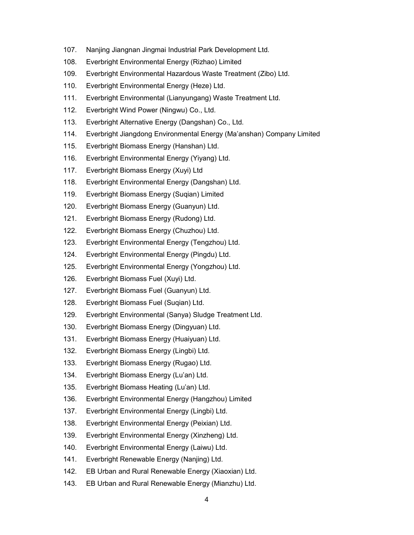- 107. Nanjing Jiangnan Jingmai Industrial Park Development Ltd.
- 108. Everbright Environmental Energy (Rizhao) Limited
- 109. Everbright Environmental Hazardous Waste Treatment (Zibo) Ltd.
- 110. Everbright Environmental Energy (Heze) Ltd.
- 111. Everbright Environmental (Lianyungang) Waste Treatment Ltd.
- 112. Everbright Wind Power (Ningwu) Co., Ltd.
- 113. Everbright Alternative Energy (Dangshan) Co., Ltd.
- 114. Everbright Jiangdong Environmental Energy (Ma'anshan) Company Limited
- 115. Everbright Biomass Energy (Hanshan) Ltd.
- 116. Everbright Environmental Energy (Yiyang) Ltd.
- 117. Everbright Biomass Energy (Xuyi) Ltd
- 118. Everbright Environmental Energy (Dangshan) Ltd.
- 119. Everbright Biomass Energy (Suqian) Limited
- 120. Everbright Biomass Energy (Guanyun) Ltd.
- 121. Everbright Biomass Energy (Rudong) Ltd.
- 122. Everbright Biomass Energy (Chuzhou) Ltd.
- 123. Everbright Environmental Energy (Tengzhou) Ltd.
- 124. Everbright Environmental Energy (Pingdu) Ltd.
- 125. Everbright Environmental Energy (Yongzhou) Ltd.
- 126. Everbright Biomass Fuel (Xuyi) Ltd.
- 127. Everbright Biomass Fuel (Guanyun) Ltd.
- 128. Everbright Biomass Fuel (Suqian) Ltd.
- 129. Everbright Environmental (Sanya) Sludge Treatment Ltd.
- 130. Everbright Biomass Energy (Dingyuan) Ltd.
- 131. Everbright Biomass Energy (Huaiyuan) Ltd.
- 132. Everbright Biomass Energy (Lingbi) Ltd.
- 133. Everbright Biomass Energy (Rugao) Ltd.
- 134. Everbright Biomass Energy (Lu'an) Ltd.
- 135. Everbright Biomass Heating (Lu'an) Ltd.
- 136. Everbright Environmental Energy (Hangzhou) Limited
- 137. Everbright Environmental Energy (Lingbi) Ltd.
- 138. Everbright Environmental Energy (Peixian) Ltd.
- 139. Everbright Environmental Energy (Xinzheng) Ltd.
- 140. Everbright Environmental Energy (Laiwu) Ltd.
- 141. Everbright Renewable Energy (Nanjing) Ltd.
- 142. EB Urban and Rural Renewable Energy (Xiaoxian) Ltd.
- 143. EB Urban and Rural Renewable Energy (Mianzhu) Ltd.